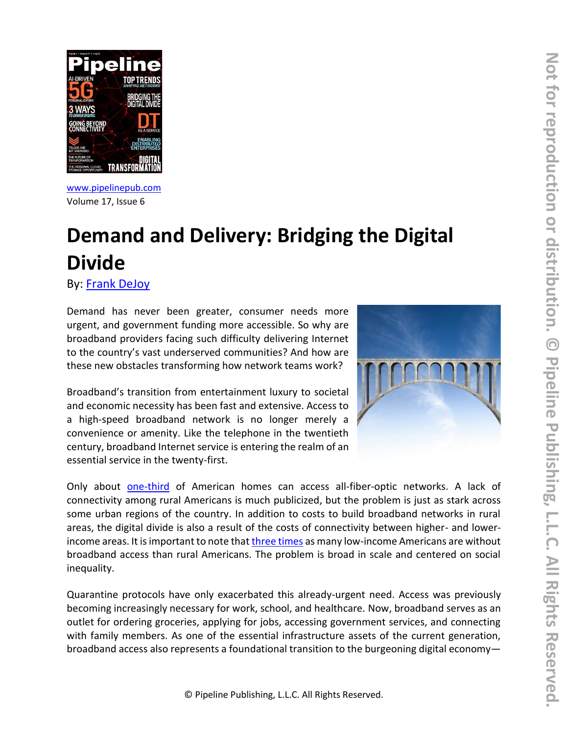

[www.pipelinepub.com](https://www.pipelinepub.com/240) Volume 17, Issue 6

## **Demand and Delivery: Bridging the Digital Divide**

By: [Frank DeJoy](https://pipeline.pubspoke.com/contributors?issue_preview=240#Frank-DeJoy)

Demand has never been greater, consumer needs more urgent, and government funding more accessible. So why are broadband providers facing such difficulty delivering Internet to the country's vast underserved communities? And how are these new obstacles transforming how network teams work?

Broadband's transition from entertainment luxury to societal and economic necessity has been fast and extensive. Access to a high-speed broadband network is no longer merely a convenience or amenity. Like the telephone in the twentieth century, broadband Internet service is entering the realm of an essential service in the twenty-first.



Only about [one-third](https://broadbandnow.com/Fiber) of American homes can access all-fiber-optic networks. A lack of connectivity among rural Americans is much publicized, but the problem is just as stark across some urban regions of the country. In addition to costs to build broadband networks in rural areas, the digital divide is also a result of the costs of connectivity between higher- and lowerincome areas. It is important to note tha[t three times](https://www.lightreading.com/security/broadband-everywhere-for-everyone-tom-wheeler-on-president-elect-bidens-telecom-ambitions/d/d-id/765487) as many low-income Americans are without broadband access than rural Americans. The problem is broad in scale and centered on social inequality.

Quarantine protocols have only exacerbated this already-urgent need. Access was previously becoming increasingly necessary for work, school, and healthcare. Now, broadband serves as an outlet for ordering groceries, applying for jobs, accessing government services, and connecting with family members. As one of the essential infrastructure assets of the current generation, broadband access also represents a foundational transition to the burgeoning digital economy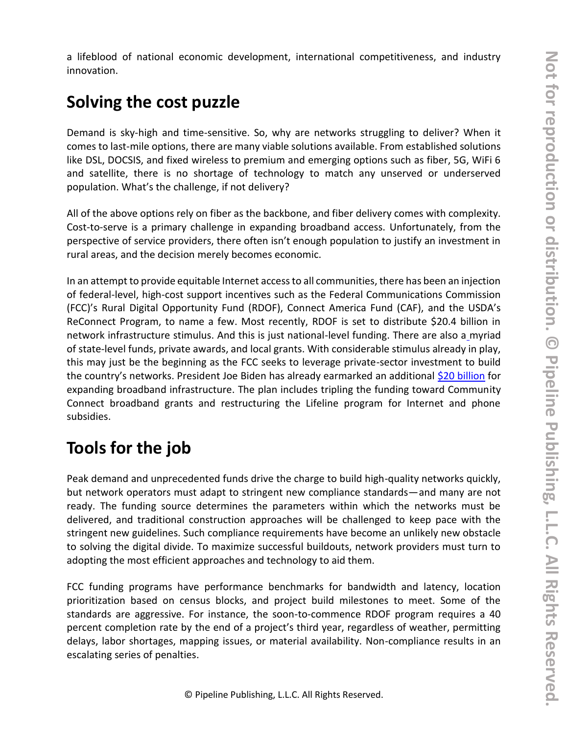a lifeblood of national economic development, international competitiveness, and industry innovation.

## **Solving the cost puzzle**

Demand is sky-high and time-sensitive. So, why are networks struggling to deliver? When it comes to last-mile options, there are many viable solutions available. From established solutions like DSL, DOCSIS, and fixed wireless to premium and emerging options such as fiber, 5G, WiFi 6 and satellite, there is no shortage of technology to match any unserved or underserved population. What's the challenge, if not delivery?

All of the above options rely on fiber as the backbone, and fiber delivery comes with complexity. Cost-to-serve is a primary challenge in expanding broadband access. Unfortunately, from the perspective of service providers, there often isn't enough population to justify an investment in rural areas, and the decision merely becomes economic.

In an attempt to provide equitable Internet access to all communities, there has been an injection of federal-level, high-cost support incentives such as the Federal Communications Commission (FCC)'s Rural Digital Opportunity Fund (RDOF), Connect America Fund (CAF), and the USDA's ReConnect Program, to name a few. Most recently, RDOF is set to distribute \$20.4 billion in network infrastructure stimulus. And this is just national-level funding. There are also [a](https://www.ntia.doc.gov/category/grants) myriad of state-level funds, private awards, and local grants. With considerable stimulus already in play, this may just be the beginning as the FCC seeks to leverage private-sector investment to build the country's networks. President Joe Biden has already earmarked an additional [\\$20 billion](https://www.cnet.com/news/biden-beats-trump-heres-what-it-means-for-tech/) for expanding broadband infrastructure. The plan includes tripling the funding toward Community Connect broadband grants and restructuring the Lifeline program for Internet and phone subsidies.

## **Tools for the job**

Peak demand and unprecedented funds drive the charge to build high-quality networks quickly, but network operators must adapt to stringent new compliance standards—and many are not ready. The funding source determines the parameters within which the networks must be delivered, and traditional construction approaches will be challenged to keep pace with the stringent new guidelines. Such compliance requirements have become an unlikely new obstacle to solving the digital divide. To maximize successful buildouts, network providers must turn to adopting the most efficient approaches and technology to aid them.

FCC funding programs have performance benchmarks for bandwidth and latency, location prioritization based on census blocks, and project build milestones to meet. Some of the standards are aggressive. For instance, the soon-to-commence RDOF program requires a 40 percent completion rate by the end of a project's third year, regardless of weather, permitting delays, labor shortages, mapping issues, or material availability. Non-compliance results in an escalating series of penalties.